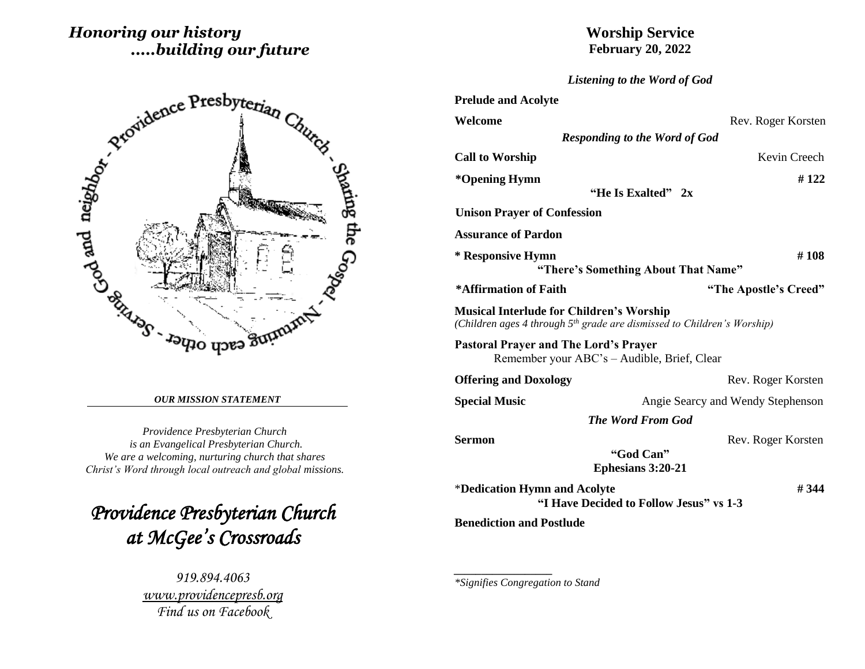# *Honoring our history .....building our future*



#### *OUR MISSION STATEMENT*

*Providence Presbyterian Church is an Evangelical Presbyterian Church. We are a welcoming, nurturing church that shares Christ's Word through local outreach and global missions.*

*Providence Presbyterian Church at McGee's Crossroads* 

> *919.894.4063 [www.providencepresb.org](http://www.providencepresb.org/) Find us on Facebook*

## **Worship Service February 20, 2022**

*Listening to the Word of God*

| <b>Prelude and Acolyte</b>                                                                                                             |                                                      |
|----------------------------------------------------------------------------------------------------------------------------------------|------------------------------------------------------|
| Welcome                                                                                                                                | Rev. Roger Korsten                                   |
|                                                                                                                                        | <b>Responding to the Word of God</b>                 |
| <b>Call to Worship</b>                                                                                                                 | Kevin Creech                                         |
| *Opening Hymn                                                                                                                          | #122<br>"He Is Exalted" 2x                           |
| <b>Unison Prayer of Confession</b>                                                                                                     |                                                      |
| <b>Assurance of Pardon</b>                                                                                                             |                                                      |
| * Responsive Hymn                                                                                                                      | #108<br>"There's Something About That Name"          |
| *Affirmation of Faith                                                                                                                  | "The Apostle's Creed"                                |
| <b>Musical Interlude for Children's Worship</b><br>(Children ages 4 through 5 <sup>th</sup> grade are dismissed to Children's Worship) |                                                      |
| <b>Pastoral Prayer and The Lord's Prayer</b><br>Remember your ABC's – Audible, Brief, Clear                                            |                                                      |
| <b>Offering and Doxology</b>                                                                                                           | Rev. Roger Korsten                                   |
| <b>Special Music</b>                                                                                                                   | Angie Searcy and Wendy Stephenson                    |
|                                                                                                                                        | <b>The Word From God</b>                             |
| Sermon                                                                                                                                 | Rev. Roger Korsten<br>"God Can"<br>Ephesians 3:20-21 |
| *Dedication Hymn and Acolyte                                                                                                           | # 344<br>"I Have Decided to Follow Jesus" vs 1-3     |
| <b>Benediction and Postlude</b>                                                                                                        |                                                      |

*\*Signifies Congregation to Stand*

*\_\_\_\_\_\_\_\_\_\_\_\_\_\_\_\_\_\_*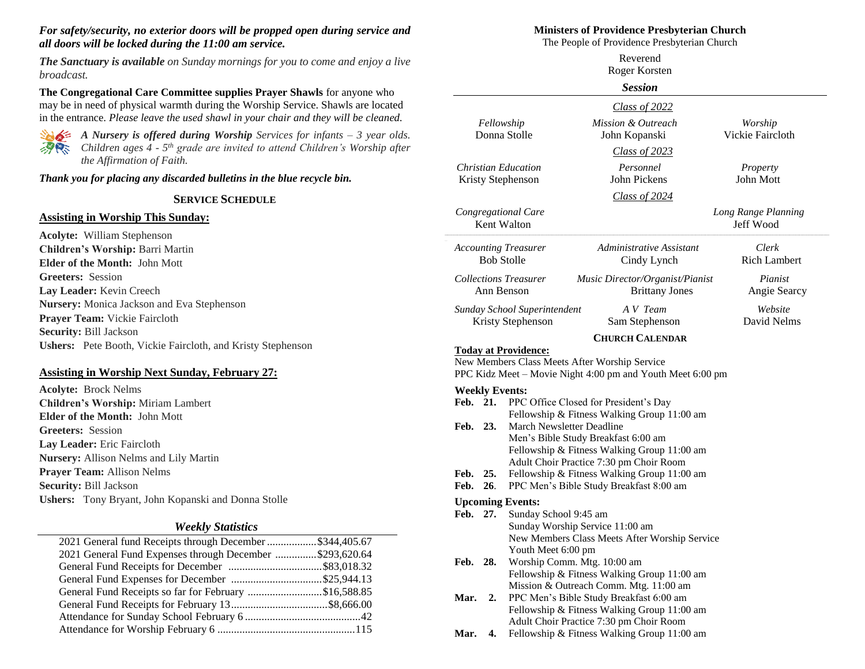#### *For safety/security, no exterior doors will be propped open during service and all doors will be locked during the 11:00 am service.*

*The Sanctuary is available on Sunday mornings for you to come and enjoy a live broadcast.*

**The Congregational Care Committee supplies Prayer Shawls** for anyone who may be in need of physical warmth during the Worship Service. Shawls are located in the entrance. *Please leave the used shawl in your chair and they will be cleaned.*



*A Nursery is offered during Worship Services for infants – 3 year olds. Children ages 4 - 5 th grade are invited to attend Children's Worship after the Affirmation of Faith.*

*Thank you for placing any discarded bulletins in the blue recycle bin.*

#### **SERVICE SCHEDULE**

#### **Assisting in Worship This Sunday:**

**Acolyte:** William Stephenson **Children's Worship:** Barri Martin **Elder of the Month:** John Mott **Greeters:** Session **Lay Leader:** Kevin Creech **Nursery:** Monica Jackson and Eva Stephenson **Prayer Team:** Vickie Faircloth **Security:** Bill Jackson **Ushers:** Pete Booth, Vickie Faircloth, and Kristy Stephenson

#### **Assisting in Worship Next Sunday, February 27:**

**Acolyte:** Brock Nelms **Children's Worship:** Miriam Lambert **Elder of the Month:** John Mott **Greeters:** Session **Lay Leader:** Eric Faircloth **Nursery:** Allison Nelms and Lily Martin **Prayer Team:** Allison Nelms **Security:** Bill Jackson **Ushers:** Tony Bryant, John Kopanski and Donna Stolle

#### *Weekly Statistics*

| 2021 General fund Receipts through December \$344,405.67 |  |
|----------------------------------------------------------|--|
| 2021 General Fund Expenses through December \$293,620.64 |  |
|                                                          |  |
|                                                          |  |
| General Fund Receipts so far for February \$16,588.85    |  |
|                                                          |  |
|                                                          |  |
|                                                          |  |
|                                                          |  |

#### **Ministers of Providence Presbyterian Church**

The People of Providence Presbyterian Church

|              |            |                                                                                        | Reverend<br>Roger Korsten                                                             |                                  |  |
|--------------|------------|----------------------------------------------------------------------------------------|---------------------------------------------------------------------------------------|----------------------------------|--|
|              |            |                                                                                        | <b>Session</b>                                                                        |                                  |  |
|              |            |                                                                                        | Class of 2022                                                                         |                                  |  |
|              |            | Fellowship<br>Donna Stolle                                                             | Mission & Outreach<br>John Kopanski                                                   | Worship<br>Vickie Faircloth      |  |
|              |            |                                                                                        | <b>Class of 2023</b>                                                                  |                                  |  |
|              |            | <b>Christian Education</b><br>Kristy Stephenson                                        | Personnel<br>John Pickens                                                             | Property<br>John Mott            |  |
|              |            |                                                                                        | Class of 2024                                                                         |                                  |  |
|              |            | Congregational Care<br>Kent Walton                                                     |                                                                                       | Long Range Planning<br>Jeff Wood |  |
|              |            | <b>Accounting Treasurer</b><br><b>Bob Stolle</b>                                       | Administrative Assistant<br>Cindy Lynch                                               | Clerk<br><b>Rich Lambert</b>     |  |
|              |            | <b>Collections Treasurer</b><br>Ann Benson                                             | Music Director/Organist/Pianist<br><b>Brittany Jones</b>                              | Pianist<br>Angie Searcy          |  |
|              |            | Sunday School Superintendent<br>Kristy Stephenson                                      | A V Team<br>Sam Stephenson                                                            | Website<br>David Nelms           |  |
|              |            |                                                                                        | <b>CHURCH CALENDAR</b>                                                                |                                  |  |
|              |            | <b>Today at Providence:</b><br>New Members Class Meets After Worship Service           | PPC Kidz Meet – Movie Night 4:00 pm and Youth Meet 6:00 pm                            |                                  |  |
|              |            | <b>Weekly Events:</b>                                                                  |                                                                                       |                                  |  |
| Feb. 21.     |            |                                                                                        | PPC Office Closed for President's Day                                                 |                                  |  |
| Feb. 23.     |            | March Newsletter Deadline                                                              | Fellowship & Fitness Walking Group 11:00 am                                           |                                  |  |
|              |            |                                                                                        | Men's Bible Study Breakfast 6:00 am                                                   |                                  |  |
|              |            |                                                                                        | Fellowship & Fitness Walking Group 11:00 am                                           |                                  |  |
|              |            |                                                                                        | Adult Choir Practice 7:30 pm Choir Room                                               |                                  |  |
| Feb.<br>Feb. | 25.<br>26. | Fellowship & Fitness Walking Group 11:00 am<br>PPC Men's Bible Study Breakfast 8:00 am |                                                                                       |                                  |  |
|              |            |                                                                                        |                                                                                       |                                  |  |
| Feb. 27.     |            | <b>Upcoming Events:</b><br>Sunday School 9:45 am                                       |                                                                                       |                                  |  |
|              |            | Sunday Worship Service 11:00 am                                                        |                                                                                       |                                  |  |
|              |            |                                                                                        | New Members Class Meets After Worship Service                                         |                                  |  |
|              |            | Youth Meet 6:00 pm                                                                     |                                                                                       |                                  |  |
| Feb.         | 28.        | Worship Comm. Mtg. 10:00 am                                                            |                                                                                       |                                  |  |
|              |            |                                                                                        | Fellowship & Fitness Walking Group 11:00 am<br>Mission & Outreach Comm. Mtg. 11:00 am |                                  |  |
| Mar.         | 2.         |                                                                                        | PPC Men's Bible Study Breakfast 6:00 am                                               |                                  |  |
|              |            |                                                                                        | Fellowship & Fitness Walking Group 11:00 am                                           |                                  |  |
|              |            |                                                                                        | Adult Choir Practice 7:30 pm Choir Room                                               |                                  |  |
| Mar. 4.      |            |                                                                                        | Fellowship & Fitness Walking Group 11:00 am                                           |                                  |  |